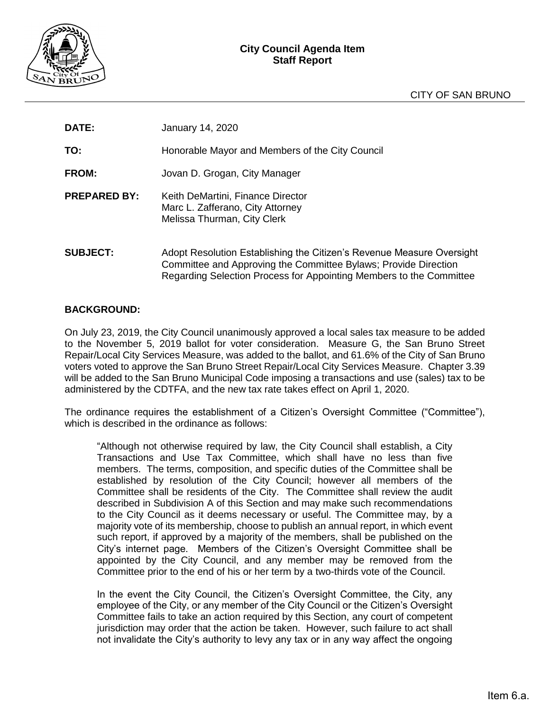

| <b>DATE:</b>        | January 14, 2020                                                                                     |
|---------------------|------------------------------------------------------------------------------------------------------|
| TO:                 | Honorable Mayor and Members of the City Council                                                      |
| <b>FROM:</b>        | Jovan D. Grogan, City Manager                                                                        |
| <b>PREPARED BY:</b> | Keith DeMartini, Finance Director<br>Marc L. Zafferano, City Attorney<br>Melissa Thurman, City Clerk |
| <b>SUBJECT:</b>     | Adopt Resolution Establishing the Citizen's Revenue Measu                                            |

re Oversight Committee and Approving the Committee Bylaws; Provide Direction Regarding Selection Process for Appointing Members to the Committee

### **BACKGROUND:**

On July 23, 2019, the City Council unanimously approved a local sales tax measure to be added to the November 5, 2019 ballot for voter consideration. Measure G, the San Bruno Street Repair/Local City Services Measure, was added to the ballot, and 61.6% of the City of San Bruno voters voted to approve the San Bruno Street Repair/Local City Services Measure. Chapter 3.39 will be added to the San Bruno Municipal Code imposing a transactions and use (sales) tax to be administered by the CDTFA, and the new tax rate takes effect on April 1, 2020.

The ordinance requires the establishment of a Citizen's Oversight Committee ("Committee"), which is described in the ordinance as follows:

"Although not otherwise required by law, the City Council shall establish, a City Transactions and Use Tax Committee, which shall have no less than five members. The terms, composition, and specific duties of the Committee shall be established by resolution of the City Council; however all members of the Committee shall be residents of the City. The Committee shall review the audit described in Subdivision A of this Section and may make such recommendations to the City Council as it deems necessary or useful. The Committee may, by a majority vote of its membership, choose to publish an annual report, in which event such report, if approved by a majority of the members, shall be published on the City's internet page. Members of the Citizen's Oversight Committee shall be appointed by the City Council, and any member may be removed from the Committee prior to the end of his or her term by a two-thirds vote of the Council.

In the event the City Council, the Citizen's Oversight Committee, the City, any employee of the City, or any member of the City Council or the Citizen's Oversight Committee fails to take an action required by this Section, any court of competent jurisdiction may order that the action be taken. However, such failure to act shall not invalidate the City's authority to levy any tax or in any way affect the ongoing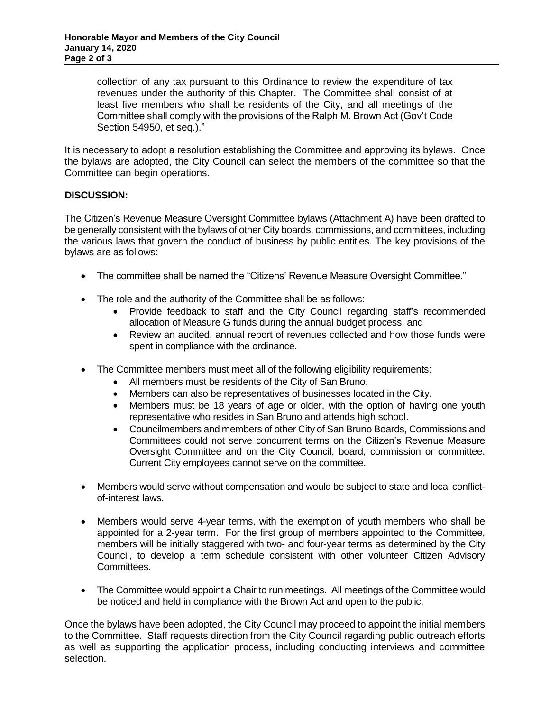collection of any tax pursuant to this Ordinance to review the expenditure of tax revenues under the authority of this Chapter. The Committee shall consist of at least five members who shall be residents of the City, and all meetings of the Committee shall comply with the provisions of the Ralph M. Brown Act (Gov't Code Section 54950, et seq.)."

It is necessary to adopt a resolution establishing the Committee and approving its bylaws. Once the bylaws are adopted, the City Council can select the members of the committee so that the Committee can begin operations.

### **DISCUSSION:**

The Citizen's Revenue Measure Oversight Committee bylaws (Attachment A) have been drafted to be generally consistent with the bylaws of other City boards, commissions, and committees, including the various laws that govern the conduct of business by public entities. The key provisions of the bylaws are as follows:

- The committee shall be named the "Citizens' Revenue Measure Oversight Committee."
- The role and the authority of the Committee shall be as follows:
	- Provide feedback to staff and the City Council regarding staff's recommended allocation of Measure G funds during the annual budget process, and
	- Review an audited, annual report of revenues collected and how those funds were spent in compliance with the ordinance.
- The Committee members must meet all of the following eligibility requirements:
	- All members must be residents of the City of San Bruno.
	- Members can also be representatives of businesses located in the City.
	- Members must be 18 years of age or older, with the option of having one youth representative who resides in San Bruno and attends high school.
	- Councilmembers and members of other City of San Bruno Boards, Commissions and Committees could not serve concurrent terms on the Citizen's Revenue Measure Oversight Committee and on the City Council, board, commission or committee. Current City employees cannot serve on the committee.
- Members would serve without compensation and would be subject to state and local conflictof-interest laws.
- Members would serve 4-year terms, with the exemption of youth members who shall be appointed for a 2-year term. For the first group of members appointed to the Committee, members will be initially staggered with two- and four-year terms as determined by the City Council, to develop a term schedule consistent with other volunteer Citizen Advisory Committees.
- The Committee would appoint a Chair to run meetings. All meetings of the Committee would be noticed and held in compliance with the Brown Act and open to the public.

Once the bylaws have been adopted, the City Council may proceed to appoint the initial members to the Committee. Staff requests direction from the City Council regarding public outreach efforts as well as supporting the application process, including conducting interviews and committee selection.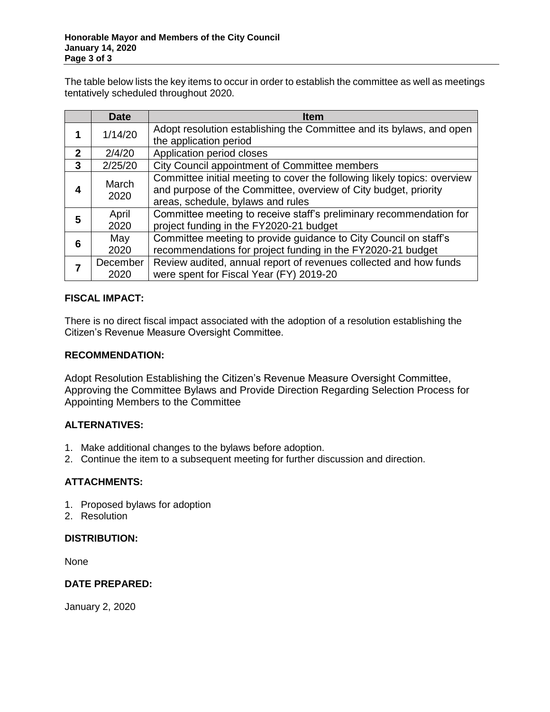The table below lists the key items to occur in order to establish the committee as well as meetings tentatively scheduled throughout 2020.

|              | <b>Date</b>   | <b>Item</b>                                                              |
|--------------|---------------|--------------------------------------------------------------------------|
| 1            | 1/14/20       | Adopt resolution establishing the Committee and its bylaws, and open     |
|              |               | the application period                                                   |
| $\mathbf{2}$ | 2/4/20        | Application period closes                                                |
| 3            | 2/25/20       | City Council appointment of Committee members                            |
| 4            | March<br>2020 | Committee initial meeting to cover the following likely topics: overview |
|              |               | and purpose of the Committee, overview of City budget, priority          |
|              |               | areas, schedule, bylaws and rules                                        |
| 5            | April         | Committee meeting to receive staff's preliminary recommendation for      |
|              | 2020          | project funding in the FY2020-21 budget                                  |
| 6            | May           | Committee meeting to provide guidance to City Council on staff's         |
|              | 2020          | recommendations for project funding in the FY2020-21 budget              |
|              | December      | Review audited, annual report of revenues collected and how funds        |
|              | 2020          | were spent for Fiscal Year (FY) 2019-20                                  |

### **FISCAL IMPACT:**

There is no direct fiscal impact associated with the adoption of a resolution establishing the Citizen's Revenue Measure Oversight Committee.

### **RECOMMENDATION:**

Adopt Resolution Establishing the Citizen's Revenue Measure Oversight Committee, Approving the Committee Bylaws and Provide Direction Regarding Selection Process for Appointing Members to the Committee

### **ALTERNATIVES:**

- 1. Make additional changes to the bylaws before adoption.
- 2. Continue the item to a subsequent meeting for further discussion and direction.

## **ATTACHMENTS:**

- 1. Proposed bylaws for adoption
- 2. Resolution

### **DISTRIBUTION:**

None

## **DATE PREPARED:**

January 2, 2020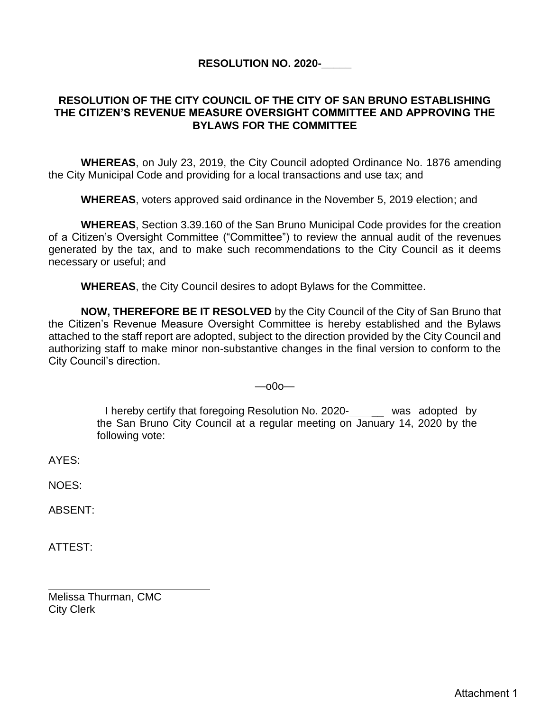# **RESOLUTION NO. 2020-\_\_\_\_\_**

## **RESOLUTION OF THE CITY COUNCIL OF THE CITY OF SAN BRUNO ESTABLISHING THE CITIZEN'S REVENUE MEASURE OVERSIGHT COMMITTEE AND APPROVING THE BYLAWS FOR THE COMMITTEE**

**WHEREAS**, on July 23, 2019, the City Council adopted Ordinance No. 1876 amending the City Municipal Code and providing for a local transactions and use tax; and

**WHEREAS**, voters approved said ordinance in the November 5, 2019 election; and

**WHEREAS**, Section 3.39.160 of the San Bruno Municipal Code provides for the creation of a Citizen's Oversight Committee ("Committee") to review the annual audit of the revenues generated by the tax, and to make such recommendations to the City Council as it deems necessary or useful; and

**WHEREAS**, the City Council desires to adopt Bylaws for the Committee.

**NOW, THEREFORE BE IT RESOLVED** by the City Council of the City of San Bruno that the Citizen's Revenue Measure Oversight Committee is hereby established and the Bylaws attached to the staff report are adopted, subject to the direction provided by the City Council and authorizing staff to make minor non-substantive changes in the final version to conform to the City Council's direction.

### —o0o—

I hereby certify that foregoing Resolution No. 2020- was adopted by the San Bruno City Council at a regular meeting on January 14, 2020 by the following vote:

AYES:

NOES:

ABSENT:

ATTEST:

Melissa Thurman, CMC City Clerk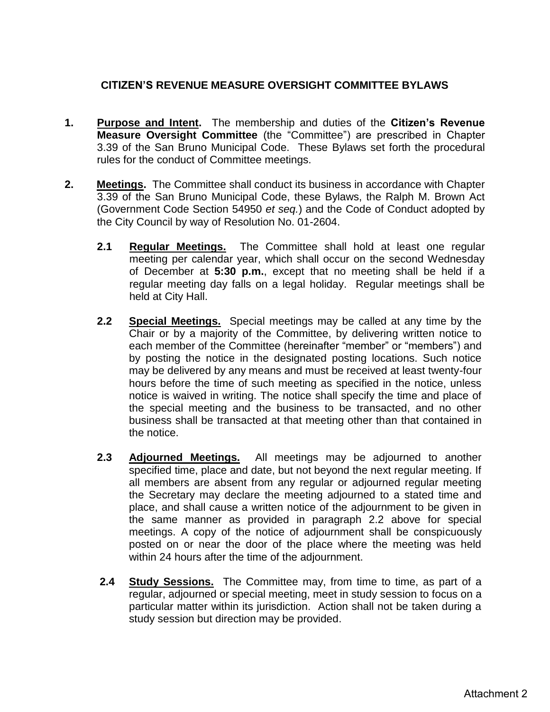# **CITIZEN'S REVENUE MEASURE OVERSIGHT COMMITTEE BYLAWS**

- **1. Purpose and Intent.** The membership and duties of the **Citizen's Revenue Measure Oversight Committee** (the "Committee") are prescribed in Chapter 3.39 of the San Bruno Municipal Code. These Bylaws set forth the procedural rules for the conduct of Committee meetings.
- **2. Meetings.** The Committee shall conduct its business in accordance with Chapter 3.39 of the San Bruno Municipal Code, these Bylaws, the Ralph M. Brown Act (Government Code Section 54950 *et seq.*) and the Code of Conduct adopted by the City Council by way of Resolution No. 01-2604.
	- **2.1 Regular Meetings.** The Committee shall hold at least one regular meeting per calendar year, which shall occur on the second Wednesday of December at **5:30 p.m.**, except that no meeting shall be held if a regular meeting day falls on a legal holiday. Regular meetings shall be held at City Hall.
	- **2.2 Special Meetings.** Special meetings may be called at any time by the Chair or by a majority of the Committee, by delivering written notice to each member of the Committee (hereinafter "member" or "members") and by posting the notice in the designated posting locations. Such notice may be delivered by any means and must be received at least twenty-four hours before the time of such meeting as specified in the notice, unless notice is waived in writing. The notice shall specify the time and place of the special meeting and the business to be transacted, and no other business shall be transacted at that meeting other than that contained in the notice.
	- **2.3 Adjourned Meetings.** All meetings may be adjourned to another specified time, place and date, but not beyond the next regular meeting. If all members are absent from any regular or adjourned regular meeting the Secretary may declare the meeting adjourned to a stated time and place, and shall cause a written notice of the adjournment to be given in the same manner as provided in paragraph 2.2 above for special meetings. A copy of the notice of adjournment shall be conspicuously posted on or near the door of the place where the meeting was held within 24 hours after the time of the adjournment.
	- **2.4 Study Sessions.** The Committee may, from time to time, as part of a regular, adjourned or special meeting, meet in study session to focus on a particular matter within its jurisdiction. Action shall not be taken during a study session but direction may be provided.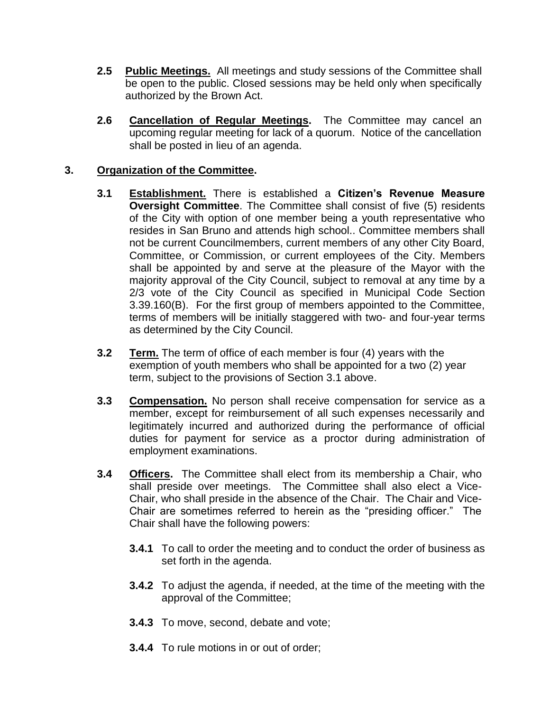- **2.5 Public Meetings.** All meetings and study sessions of the Committee shall be open to the public. Closed sessions may be held only when specifically authorized by the Brown Act.
- **2.6 Cancellation of Regular Meetings.** The Committee may cancel an upcoming regular meeting for lack of a quorum. Notice of the cancellation shall be posted in lieu of an agenda.

# **3. Organization of the Committee.**

- **3.1 Establishment.** There is established a **Citizen's Revenue Measure Oversight Committee**. The Committee shall consist of five (5) residents of the City with option of one member being a youth representative who resides in San Bruno and attends high school.. Committee members shall not be current Councilmembers, current members of any other City Board, Committee, or Commission, or current employees of the City. Members shall be appointed by and serve at the pleasure of the Mayor with the majority approval of the City Council, subject to removal at any time by a 2/3 vote of the City Council as specified in Municipal Code Section 3.39.160(B). For the first group of members appointed to the Committee, terms of members will be initially staggered with two- and four-year terms as determined by the City Council.
- **3.2 Term.** The term of office of each member is four (4) years with the exemption of youth members who shall be appointed for a two (2) year term, subject to the provisions of Section 3.1 above.
- **3.3 Compensation.** No person shall receive compensation for service as a member, except for reimbursement of all such expenses necessarily and legitimately incurred and authorized during the performance of official duties for payment for service as a proctor during administration of employment examinations.
- **3.4 Officers.** The Committee shall elect from its membership a Chair, who shall preside over meetings. The Committee shall also elect a Vice-Chair, who shall preside in the absence of the Chair. The Chair and Vice-Chair are sometimes referred to herein as the "presiding officer." The Chair shall have the following powers:
	- **3.4.1** To call to order the meeting and to conduct the order of business as set forth in the agenda.
	- **3.4.2** To adjust the agenda, if needed, at the time of the meeting with the approval of the Committee;
	- **3.4.3** To move, second, debate and vote;
	- **3.4.4** To rule motions in or out of order;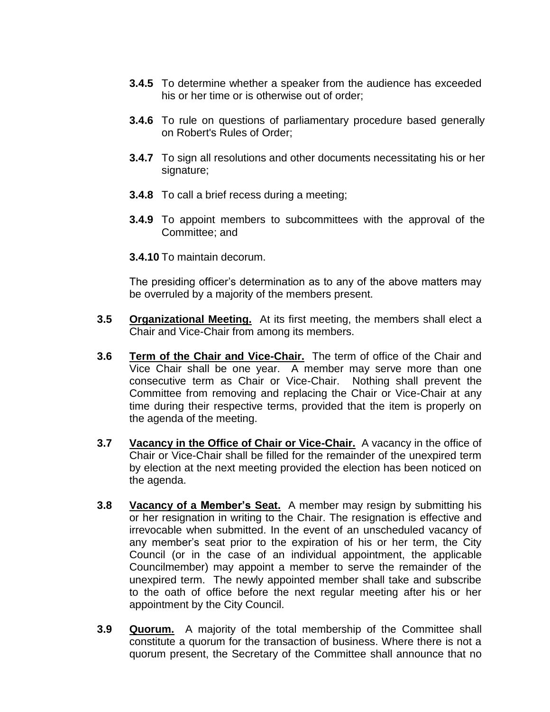- **3.4.5** To determine whether a speaker from the audience has exceeded his or her time or is otherwise out of order;
- **3.4.6** To rule on questions of parliamentary procedure based generally on Robert's Rules of Order;
- **3.4.7** To sign all resolutions and other documents necessitating his or her signature;
- **3.4.8** To call a brief recess during a meeting;
- **3.4.9** To appoint members to subcommittees with the approval of the Committee; and
- **3.4.10** To maintain decorum.

The presiding officer's determination as to any of the above matters may be overruled by a majority of the members present.

- **3.5 Organizational Meeting.** At its first meeting, the members shall elect a Chair and Vice-Chair from among its members.
- **3.6 Term of the Chair and Vice-Chair.** The term of office of the Chair and Vice Chair shall be one year. A member may serve more than one consecutive term as Chair or Vice-Chair. Nothing shall prevent the Committee from removing and replacing the Chair or Vice-Chair at any time during their respective terms, provided that the item is properly on the agenda of the meeting.
- **3.7 Vacancy in the Office of Chair or Vice-Chair.** A vacancy in the office of Chair or Vice-Chair shall be filled for the remainder of the unexpired term by election at the next meeting provided the election has been noticed on the agenda.
- **3.8 Vacancy of a Member's Seat.** A member may resign by submitting his or her resignation in writing to the Chair. The resignation is effective and irrevocable when submitted. In the event of an unscheduled vacancy of any member's seat prior to the expiration of his or her term, the City Council (or in the case of an individual appointment, the applicable Councilmember) may appoint a member to serve the remainder of the unexpired term. The newly appointed member shall take and subscribe to the oath of office before the next regular meeting after his or her appointment by the City Council.
- **3.9 Quorum.** A majority of the total membership of the Committee shall constitute a quorum for the transaction of business. Where there is not a quorum present, the Secretary of the Committee shall announce that no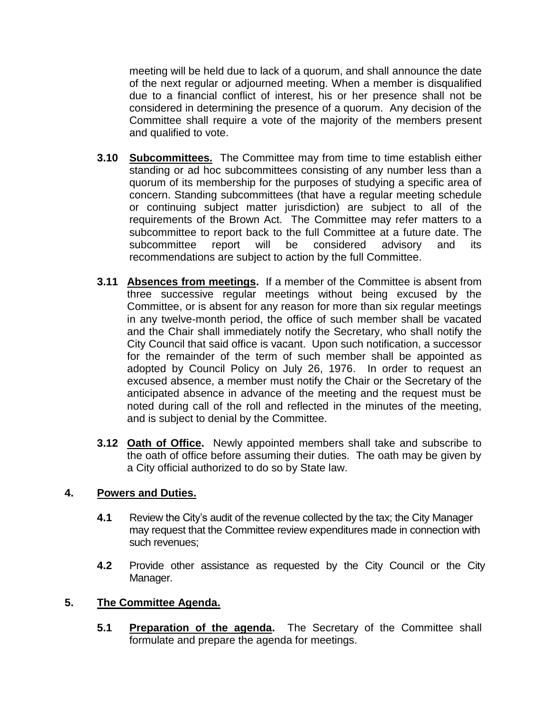meeting will be held due to lack of a quorum, and shall announce the date of the next regular or adjourned meeting. When a member is disqualified due to a financial conflict of interest, his or her presence shall not be considered in determining the presence of a quorum. Any decision of the Committee shall require a vote of the majority of the members present and qualified to vote.

- **3.10 Subcommittees.** The Committee may from time to time establish either standing or ad hoc subcommittees consisting of any number less than a quorum of its membership for the purposes of studying a specific area of concern. Standing subcommittees (that have a regular meeting schedule or continuing subject matter jurisdiction) are subject to all of the requirements of the Brown Act. The Committee may refer matters to a subcommittee to report back to the full Committee at a future date. The subcommittee report will be considered advisory and its recommendations are subject to action by the full Committee.
- **3.11 Absences from meetings.** If a member of the Committee is absent from three successive regular meetings without being excused by the Committee, or is absent for any reason for more than six regular meetings in any twelve-month period, the office of such member shall be vacated and the Chair shall immediately notify the Secretary, who shall notify the City Council that said office is vacant. Upon such notification, a successor for the remainder of the term of such member shall be appointed as adopted by Council Policy on July 26, 1976. In order to request an excused absence, a member must notify the Chair or the Secretary of the anticipated absence in advance of the meeting and the request must be noted during call of the roll and reflected in the minutes of the meeting, and is subject to denial by the Committee.
- **3.12 Oath of Office.** Newly appointed members shall take and subscribe to the oath of office before assuming their duties. The oath may be given by a City official authorized to do so by State law.

## **4. Powers and Duties.**

- **4.1** Review the City's audit of the revenue collected by the tax; the City Manager may request that the Committee review expenditures made in connection with such revenues;
- **4.2** Provide other assistance as requested by the City Council or the City Manager.

## **5. The Committee Agenda.**

**5.1 Preparation of the agenda.** The Secretary of the Committee shall formulate and prepare the agenda for meetings.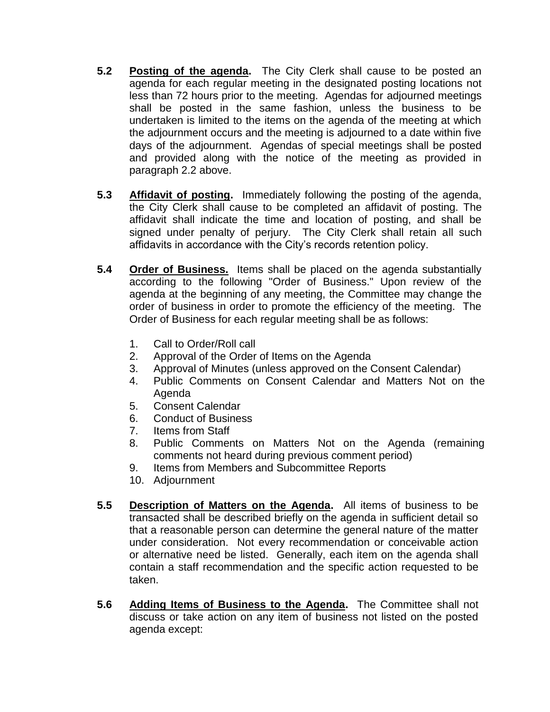- **5.2 Posting of the agenda.** The City Clerk shall cause to be posted an agenda for each regular meeting in the designated posting locations not less than 72 hours prior to the meeting. Agendas for adjourned meetings shall be posted in the same fashion, unless the business to be undertaken is limited to the items on the agenda of the meeting at which the adjournment occurs and the meeting is adjourned to a date within five days of the adjournment. Agendas of special meetings shall be posted and provided along with the notice of the meeting as provided in paragraph 2.2 above.
- **5.3 Affidavit of posting.** Immediately following the posting of the agenda, the City Clerk shall cause to be completed an affidavit of posting. The affidavit shall indicate the time and location of posting, and shall be signed under penalty of perjury. The City Clerk shall retain all such affidavits in accordance with the City's records retention policy.
- **5.4 Order of Business.** Items shall be placed on the agenda substantially according to the following "Order of Business." Upon review of the agenda at the beginning of any meeting, the Committee may change the order of business in order to promote the efficiency of the meeting. The Order of Business for each regular meeting shall be as follows:
	- 1. Call to Order/Roll call
	- 2. Approval of the Order of Items on the Agenda
	- 3. Approval of Minutes (unless approved on the Consent Calendar)
	- 4. Public Comments on Consent Calendar and Matters Not on the Agenda
	- 5. Consent Calendar
	- 6. Conduct of Business
	- 7. Items from Staff
	- 8. Public Comments on Matters Not on the Agenda (remaining comments not heard during previous comment period)
	- 9. Items from Members and Subcommittee Reports
	- 10. Adjournment
- **5.5 Description of Matters on the Agenda.** All items of business to be transacted shall be described briefly on the agenda in sufficient detail so that a reasonable person can determine the general nature of the matter under consideration. Not every recommendation or conceivable action or alternative need be listed. Generally, each item on the agenda shall contain a staff recommendation and the specific action requested to be taken.
- **5.6 Adding Items of Business to the Agenda.** The Committee shall not discuss or take action on any item of business not listed on the posted agenda except: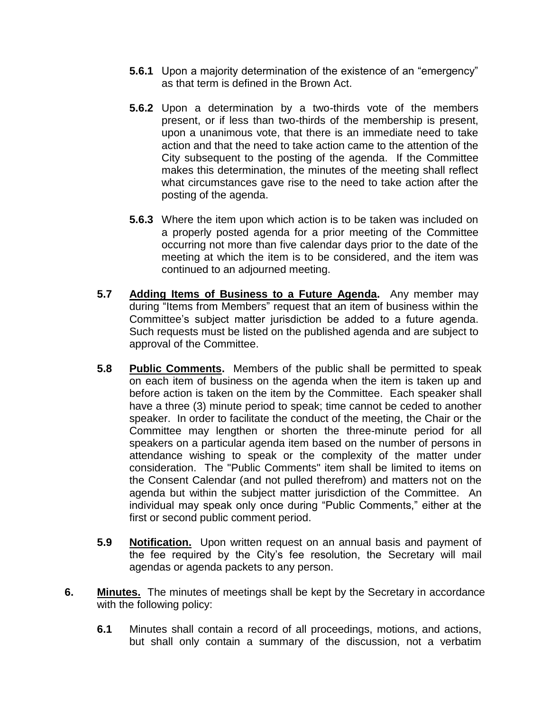- **5.6.1** Upon a majority determination of the existence of an "emergency" as that term is defined in the Brown Act.
- **5.6.2** Upon a determination by a two-thirds vote of the members present, or if less than two-thirds of the membership is present, upon a unanimous vote, that there is an immediate need to take action and that the need to take action came to the attention of the City subsequent to the posting of the agenda. If the Committee makes this determination, the minutes of the meeting shall reflect what circumstances gave rise to the need to take action after the posting of the agenda.
- **5.6.3** Where the item upon which action is to be taken was included on a properly posted agenda for a prior meeting of the Committee occurring not more than five calendar days prior to the date of the meeting at which the item is to be considered, and the item was continued to an adjourned meeting.
- **5.7 Adding Items of Business to a Future Agenda.** Any member may during "Items from Members" request that an item of business within the Committee's subject matter jurisdiction be added to a future agenda. Such requests must be listed on the published agenda and are subject to approval of the Committee.
- **5.8 Public Comments.** Members of the public shall be permitted to speak on each item of business on the agenda when the item is taken up and before action is taken on the item by the Committee. Each speaker shall have a three (3) minute period to speak; time cannot be ceded to another speaker. In order to facilitate the conduct of the meeting, the Chair or the Committee may lengthen or shorten the three-minute period for all speakers on a particular agenda item based on the number of persons in attendance wishing to speak or the complexity of the matter under consideration. The "Public Comments" item shall be limited to items on the Consent Calendar (and not pulled therefrom) and matters not on the agenda but within the subject matter jurisdiction of the Committee. An individual may speak only once during "Public Comments," either at the first or second public comment period.
- **5.9 Notification.** Upon written request on an annual basis and payment of the fee required by the City's fee resolution, the Secretary will mail agendas or agenda packets to any person.
- **6. Minutes.** The minutes of meetings shall be kept by the Secretary in accordance with the following policy:
	- **6.1** Minutes shall contain a record of all proceedings, motions, and actions, but shall only contain a summary of the discussion, not a verbatim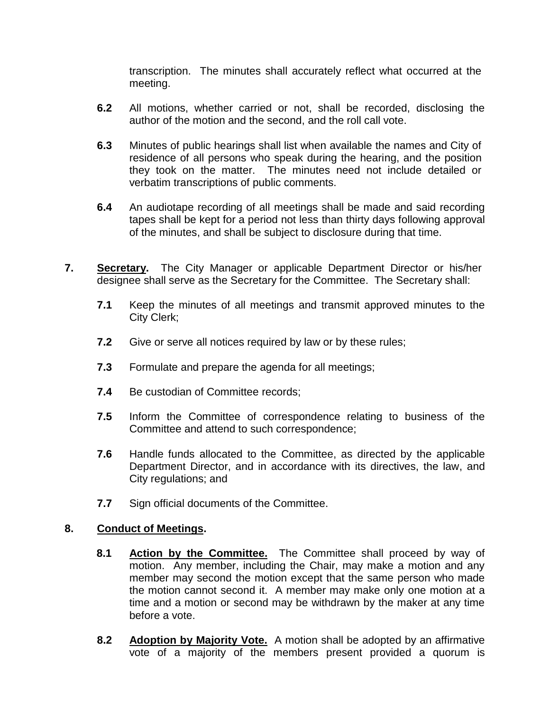transcription. The minutes shall accurately reflect what occurred at the meeting.

- **6.2** All motions, whether carried or not, shall be recorded, disclosing the author of the motion and the second, and the roll call vote.
- **6.3** Minutes of public hearings shall list when available the names and City of residence of all persons who speak during the hearing, and the position they took on the matter. The minutes need not include detailed or verbatim transcriptions of public comments.
- **6.4** An audiotape recording of all meetings shall be made and said recording tapes shall be kept for a period not less than thirty days following approval of the minutes, and shall be subject to disclosure during that time.
- **7. Secretary.** The City Manager or applicable Department Director or his/her designee shall serve as the Secretary for the Committee. The Secretary shall:
	- **7.1** Keep the minutes of all meetings and transmit approved minutes to the City Clerk;
	- **7.2** Give or serve all notices required by law or by these rules;
	- **7.3** Formulate and prepare the agenda for all meetings;
	- **7.4** Be custodian of Committee records;
	- **7.5** Inform the Committee of correspondence relating to business of the Committee and attend to such correspondence;
	- **7.6** Handle funds allocated to the Committee, as directed by the applicable Department Director, and in accordance with its directives, the law, and City regulations; and
	- **7.7** Sign official documents of the Committee.

### **8. Conduct of Meetings.**

- **8.1 Action by the Committee.** The Committee shall proceed by way of motion. Any member, including the Chair, may make a motion and any member may second the motion except that the same person who made the motion cannot second it. A member may make only one motion at a time and a motion or second may be withdrawn by the maker at any time before a vote.
- **8.2 Adoption by Majority Vote.** A motion shall be adopted by an affirmative vote of a majority of the members present provided a quorum is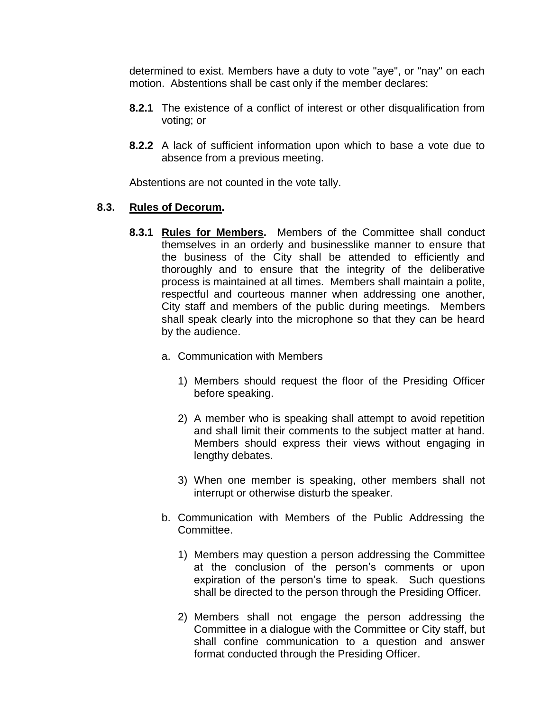determined to exist. Members have a duty to vote "aye", or "nay" on each motion. Abstentions shall be cast only if the member declares:

- **8.2.1** The existence of a conflict of interest or other disqualification from voting; or
- **8.2.2** A lack of sufficient information upon which to base a vote due to absence from a previous meeting.

Abstentions are not counted in the vote tally.

## **8.3. Rules of Decorum.**

- **8.3.1 Rules for Members.** Members of the Committee shall conduct themselves in an orderly and businesslike manner to ensure that the business of the City shall be attended to efficiently and thoroughly and to ensure that the integrity of the deliberative process is maintained at all times. Members shall maintain a polite, respectful and courteous manner when addressing one another, City staff and members of the public during meetings. Members shall speak clearly into the microphone so that they can be heard by the audience.
	- a. Communication with Members
		- 1) Members should request the floor of the Presiding Officer before speaking.
		- 2) A member who is speaking shall attempt to avoid repetition and shall limit their comments to the subject matter at hand. Members should express their views without engaging in lengthy debates.
		- 3) When one member is speaking, other members shall not interrupt or otherwise disturb the speaker.
	- b. Communication with Members of the Public Addressing the Committee.
		- 1) Members may question a person addressing the Committee at the conclusion of the person's comments or upon expiration of the person's time to speak. Such questions shall be directed to the person through the Presiding Officer.
		- 2) Members shall not engage the person addressing the Committee in a dialogue with the Committee or City staff, but shall confine communication to a question and answer format conducted through the Presiding Officer.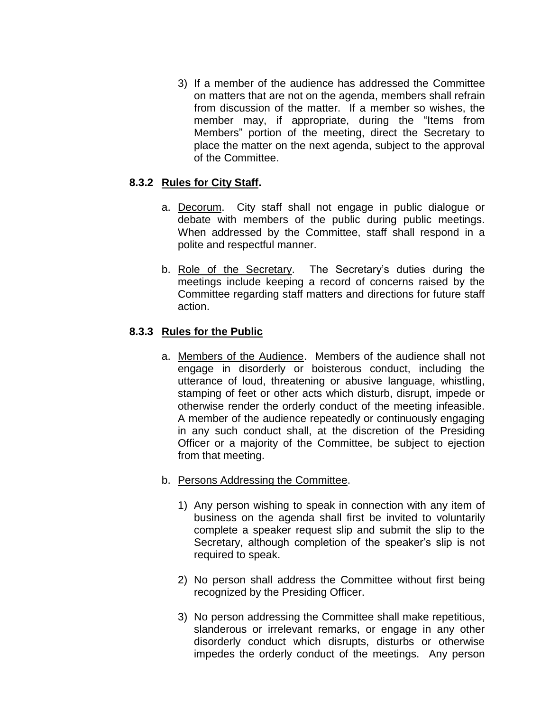3) If a member of the audience has addressed the Committee on matters that are not on the agenda, members shall refrain from discussion of the matter. If a member so wishes, the member may, if appropriate, during the "Items from Members" portion of the meeting, direct the Secretary to place the matter on the next agenda, subject to the approval of the Committee.

# **8.3.2 Rules for City Staff.**

- a. Decorum.City staff shall not engage in public dialogue or debate with members of the public during public meetings. When addressed by the Committee, staff shall respond in a polite and respectful manner.
- b. Role of the Secretary. The Secretary's duties during the meetings include keeping a record of concerns raised by the Committee regarding staff matters and directions for future staff action.

# **8.3.3 Rules for the Public**

- a. Members of the Audience. Members of the audience shall not engage in disorderly or boisterous conduct, including the utterance of loud, threatening or abusive language, whistling, stamping of feet or other acts which disturb, disrupt, impede or otherwise render the orderly conduct of the meeting infeasible. A member of the audience repeatedly or continuously engaging in any such conduct shall, at the discretion of the Presiding Officer or a majority of the Committee, be subject to ejection from that meeting.
- b. Persons Addressing the Committee.
	- 1) Any person wishing to speak in connection with any item of business on the agenda shall first be invited to voluntarily complete a speaker request slip and submit the slip to the Secretary, although completion of the speaker's slip is not required to speak.
	- 2) No person shall address the Committee without first being recognized by the Presiding Officer.
	- 3) No person addressing the Committee shall make repetitious, slanderous or irrelevant remarks, or engage in any other disorderly conduct which disrupts, disturbs or otherwise impedes the orderly conduct of the meetings. Any person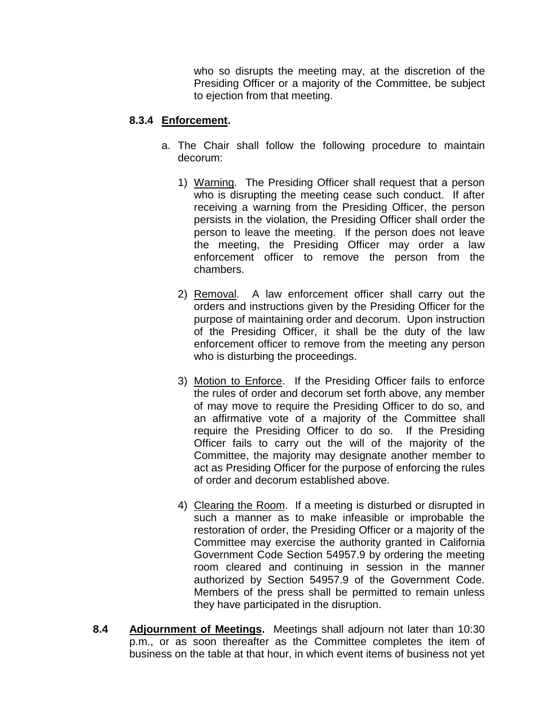who so disrupts the meeting may, at the discretion of the Presiding Officer or a majority of the Committee, be subject to ejection from that meeting.

# **8.3.4 Enforcement.**

- a. The Chair shall follow the following procedure to maintain decorum:
	- 1) Warning. The Presiding Officer shall request that a person who is disrupting the meeting cease such conduct. If after receiving a warning from the Presiding Officer, the person persists in the violation, the Presiding Officer shall order the person to leave the meeting. If the person does not leave the meeting, the Presiding Officer may order a law enforcement officer to remove the person from the chambers.
	- 2) Removal. A law enforcement officer shall carry out the orders and instructions given by the Presiding Officer for the purpose of maintaining order and decorum. Upon instruction of the Presiding Officer, it shall be the duty of the law enforcement officer to remove from the meeting any person who is disturbing the proceedings.
	- 3) Motion to Enforce. If the Presiding Officer fails to enforce the rules of order and decorum set forth above, any member of may move to require the Presiding Officer to do so, and an affirmative vote of a majority of the Committee shall require the Presiding Officer to do so. If the Presiding Officer fails to carry out the will of the majority of the Committee, the majority may designate another member to act as Presiding Officer for the purpose of enforcing the rules of order and decorum established above.
	- 4) Clearing the Room. If a meeting is disturbed or disrupted in such a manner as to make infeasible or improbable the restoration of order, the Presiding Officer or a majority of the Committee may exercise the authority granted in California Government Code Section 54957.9 by ordering the meeting room cleared and continuing in session in the manner authorized by Section 54957.9 of the Government Code. Members of the press shall be permitted to remain unless they have participated in the disruption.
- **8.4 Adjournment of Meetings.** Meetings shall adjourn not later than 10:30 p.m., or as soon thereafter as the Committee completes the item of business on the table at that hour, in which event items of business not yet